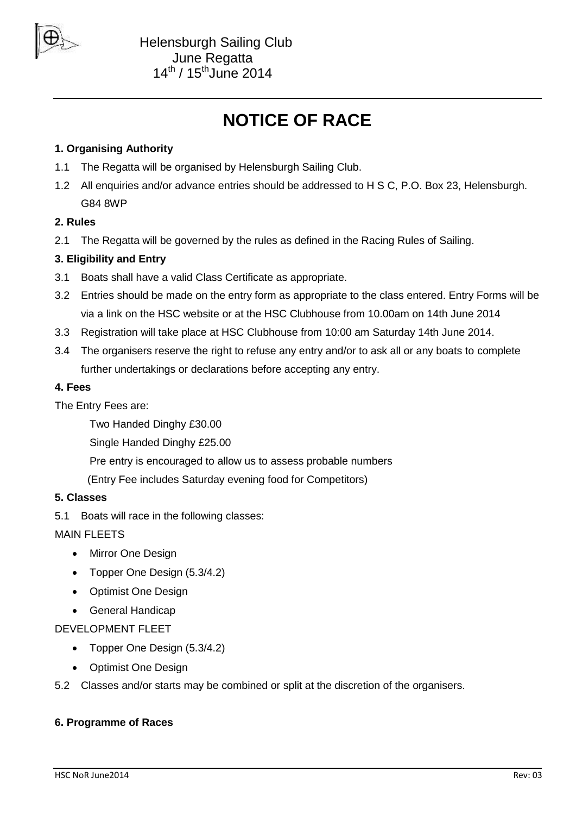

# **NOTICE OF RACE**

# **1. Organising Authority**

- 1.1 The Regatta will be organised by Helensburgh Sailing Club.
- 1.2 All enquiries and/or advance entries should be addressed to H S C, P.O. Box 23, Helensburgh. G84 8WP

# **2. Rules**

2.1 The Regatta will be governed by the rules as defined in the Racing Rules of Sailing.

# **3. Eligibility and Entry**

- 3.1 Boats shall have a valid Class Certificate as appropriate.
- 3.2 Entries should be made on the entry form as appropriate to the class entered. Entry Forms will be via a link on the HSC website or at the HSC Clubhouse from 10.00am on 14th June 2014
- 3.3 Registration will take place at HSC Clubhouse from 10:00 am Saturday 14th June 2014.
- 3.4 The organisers reserve the right to refuse any entry and/or to ask all or any boats to complete further undertakings or declarations before accepting any entry.

## **4. Fees**

The Entry Fees are:

Two Handed Dinghy £30.00

Single Handed Dinghy £25.00

Pre entry is encouraged to allow us to assess probable numbers

(Entry Fee includes Saturday evening food for Competitors)

## **5. Classes**

5.1 Boats will race in the following classes:

MAIN FLEETS

- Mirror One Design
- Topper One Design (5.3/4.2)
- Optimist One Design
- General Handicap

DEVELOPMENT FLEET

- Topper One Design (5.3/4.2)
- Optimist One Design
- 5.2 Classes and/or starts may be combined or split at the discretion of the organisers.

## **6. Programme of Races**